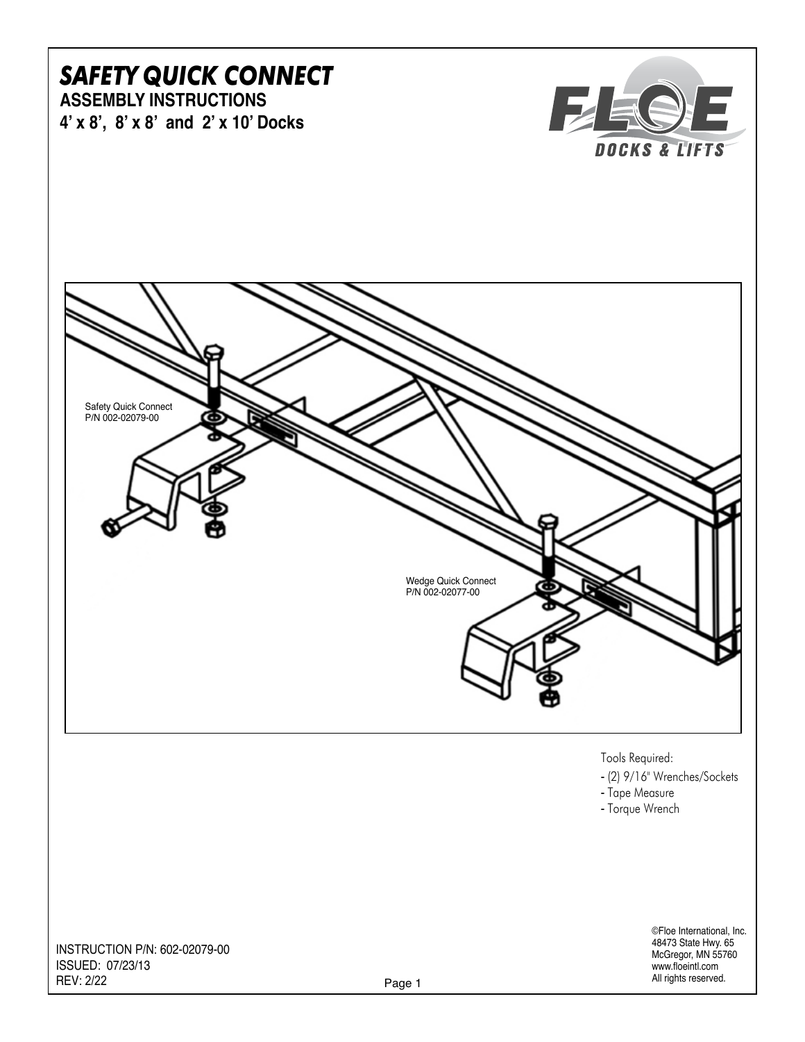